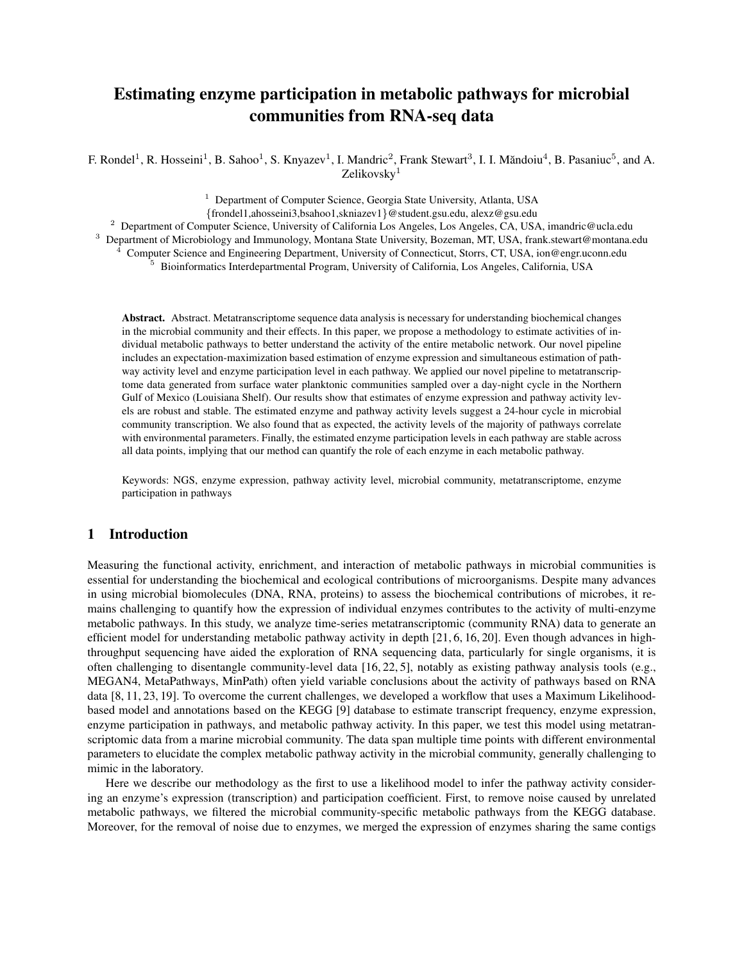# Estimating enzyme participation in metabolic pathways for microbial communities from RNA-seq data

F. Rondel<sup>1</sup>, R. Hosseini<sup>1</sup>, B. Sahoo<sup>1</sup>, S. Knyazev<sup>1</sup>, I. Mandric<sup>2</sup>, Frank Stewart<sup>3</sup>, I. I. Măndoiu<sup>4</sup>, B. Pasaniuc<sup>5</sup>, and A. Zelikovsky $1$ 

 $1$  Department of Computer Science, Georgia State University, Atlanta, USA

{frondel1,ahosseini3,bsahoo1,skniazev1}@student.gsu.edu, alexz@gsu.edu

<sup>2</sup> Department of Computer Science, University of California Los Angeles, Los Angeles, CA, USA, imandric@ucla.edu

<sup>3</sup> Department of Microbiology and Immunology, Montana State University, Bozeman, MT, USA, frank.stewart@montana.edu

 $4$  Computer Science and Engineering Department, University of Connecticut, Storrs, CT, USA, ion@engr.uconn.edu

<sup>5</sup> Bioinformatics Interdepartmental Program, University of California, Los Angeles, California, USA

Abstract. Abstract. Metatranscriptome sequence data analysis is necessary for understanding biochemical changes in the microbial community and their effects. In this paper, we propose a methodology to estimate activities of individual metabolic pathways to better understand the activity of the entire metabolic network. Our novel pipeline includes an expectation-maximization based estimation of enzyme expression and simultaneous estimation of pathway activity level and enzyme participation level in each pathway. We applied our novel pipeline to metatranscriptome data generated from surface water planktonic communities sampled over a day-night cycle in the Northern Gulf of Mexico (Louisiana Shelf). Our results show that estimates of enzyme expression and pathway activity levels are robust and stable. The estimated enzyme and pathway activity levels suggest a 24-hour cycle in microbial community transcription. We also found that as expected, the activity levels of the majority of pathways correlate with environmental parameters. Finally, the estimated enzyme participation levels in each pathway are stable across all data points, implying that our method can quantify the role of each enzyme in each metabolic pathway.

Keywords: NGS, enzyme expression, pathway activity level, microbial community, metatranscriptome, enzyme participation in pathways

# 1 Introduction

Measuring the functional activity, enrichment, and interaction of metabolic pathways in microbial communities is essential for understanding the biochemical and ecological contributions of microorganisms. Despite many advances in using microbial biomolecules (DNA, RNA, proteins) to assess the biochemical contributions of microbes, it remains challenging to quantify how the expression of individual enzymes contributes to the activity of multi-enzyme metabolic pathways. In this study, we analyze time-series metatranscriptomic (community RNA) data to generate an efficient model for understanding metabolic pathway activity in depth [21, 6, 16, 20]. Even though advances in highthroughput sequencing have aided the exploration of RNA sequencing data, particularly for single organisms, it is often challenging to disentangle community-level data [16, 22, 5], notably as existing pathway analysis tools (e.g., MEGAN4, MetaPathways, MinPath) often yield variable conclusions about the activity of pathways based on RNA data [8, 11, 23, 19]. To overcome the current challenges, we developed a workflow that uses a Maximum Likelihoodbased model and annotations based on the KEGG [9] database to estimate transcript frequency, enzyme expression, enzyme participation in pathways, and metabolic pathway activity. In this paper, we test this model using metatranscriptomic data from a marine microbial community. The data span multiple time points with different environmental parameters to elucidate the complex metabolic pathway activity in the microbial community, generally challenging to mimic in the laboratory.

Here we describe our methodology as the first to use a likelihood model to infer the pathway activity considering an enzyme's expression (transcription) and participation coefficient. First, to remove noise caused by unrelated metabolic pathways, we filtered the microbial community-specific metabolic pathways from the KEGG database. Moreover, for the removal of noise due to enzymes, we merged the expression of enzymes sharing the same contigs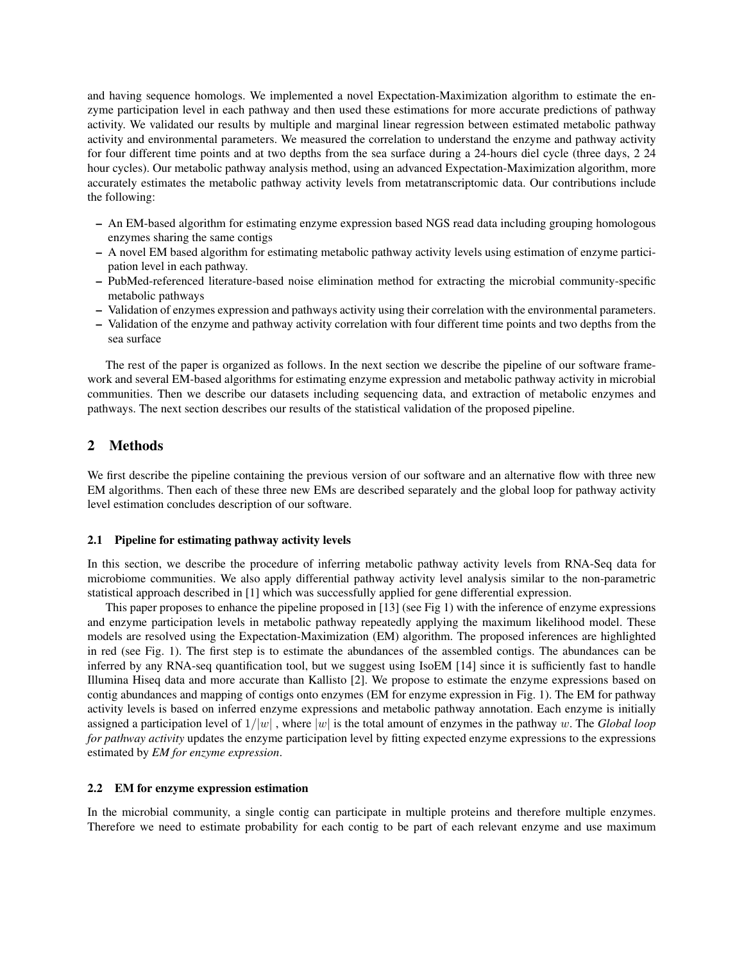and having sequence homologs. We implemented a novel Expectation-Maximization algorithm to estimate the enzyme participation level in each pathway and then used these estimations for more accurate predictions of pathway activity. We validated our results by multiple and marginal linear regression between estimated metabolic pathway activity and environmental parameters. We measured the correlation to understand the enzyme and pathway activity for four different time points and at two depths from the sea surface during a 24-hours diel cycle (three days, 2 24 hour cycles). Our metabolic pathway analysis method, using an advanced Expectation-Maximization algorithm, more accurately estimates the metabolic pathway activity levels from metatranscriptomic data. Our contributions include the following:

- An EM-based algorithm for estimating enzyme expression based NGS read data including grouping homologous enzymes sharing the same contigs
- A novel EM based algorithm for estimating metabolic pathway activity levels using estimation of enzyme participation level in each pathway.
- PubMed-referenced literature-based noise elimination method for extracting the microbial community-specific metabolic pathways
- Validation of enzymes expression and pathways activity using their correlation with the environmental parameters.
- Validation of the enzyme and pathway activity correlation with four different time points and two depths from the sea surface

The rest of the paper is organized as follows. In the next section we describe the pipeline of our software framework and several EM-based algorithms for estimating enzyme expression and metabolic pathway activity in microbial communities. Then we describe our datasets including sequencing data, and extraction of metabolic enzymes and pathways. The next section describes our results of the statistical validation of the proposed pipeline.

### 2 Methods

We first describe the pipeline containing the previous version of our software and an alternative flow with three new EM algorithms. Then each of these three new EMs are described separately and the global loop for pathway activity level estimation concludes description of our software.

### 2.1 Pipeline for estimating pathway activity levels

In this section, we describe the procedure of inferring metabolic pathway activity levels from RNA-Seq data for microbiome communities. We also apply differential pathway activity level analysis similar to the non-parametric statistical approach described in [1] which was successfully applied for gene differential expression.

This paper proposes to enhance the pipeline proposed in [13] (see Fig 1) with the inference of enzyme expressions and enzyme participation levels in metabolic pathway repeatedly applying the maximum likelihood model. These models are resolved using the Expectation-Maximization (EM) algorithm. The proposed inferences are highlighted in red (see Fig. 1). The first step is to estimate the abundances of the assembled contigs. The abundances can be inferred by any RNA-seq quantification tool, but we suggest using IsoEM [14] since it is sufficiently fast to handle Illumina Hiseq data and more accurate than Kallisto [2]. We propose to estimate the enzyme expressions based on contig abundances and mapping of contigs onto enzymes (EM for enzyme expression in Fig. 1). The EM for pathway activity levels is based on inferred enzyme expressions and metabolic pathway annotation. Each enzyme is initially assigned a participation level of  $1/|w|$ , where  $|w|$  is the total amount of enzymes in the pathway w. The *Global loop for pathway activity* updates the enzyme participation level by fitting expected enzyme expressions to the expressions estimated by *EM for enzyme expression*.

#### 2.2 EM for enzyme expression estimation

In the microbial community, a single contig can participate in multiple proteins and therefore multiple enzymes. Therefore we need to estimate probability for each contig to be part of each relevant enzyme and use maximum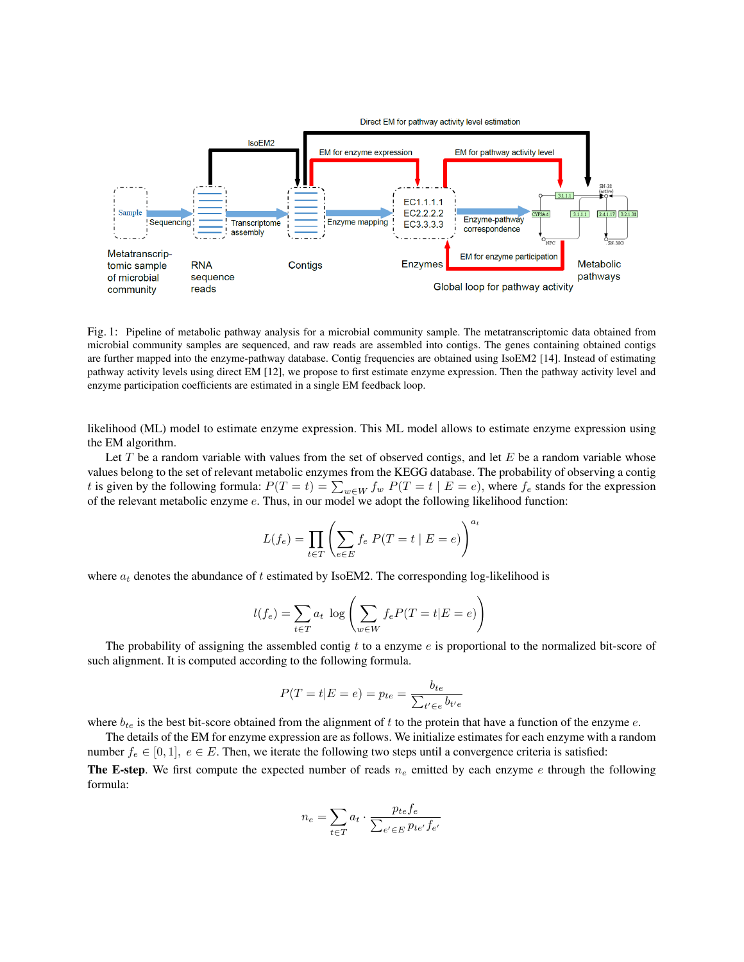

Fig. 1: Pipeline of metabolic pathway analysis for a microbial community sample. The metatranscriptomic data obtained from microbial community samples are sequenced, and raw reads are assembled into contigs. The genes containing obtained contigs are further mapped into the enzyme-pathway database. Contig frequencies are obtained using IsoEM2 [14]. Instead of estimating pathway activity levels using direct EM [12], we propose to first estimate enzyme expression. Then the pathway activity level and enzyme participation coefficients are estimated in a single EM feedback loop.

likelihood (ML) model to estimate enzyme expression. This ML model allows to estimate enzyme expression using the EM algorithm.

Let T be a random variable with values from the set of observed contigs, and let  $E$  be a random variable whose values belong to the set of relevant metabolic enzymes from the KEGG database. The probability of observing a contig t is given by the following formula:  $P(T = t) = \sum_{w \in W} f_w P(T = t | E = e)$ , where  $f_e$  stands for the expression of the relevant metabolic enzyme e. Thus, in our model we adopt the following likelihood function:

$$
L(f_e) = \prod_{t \in T} \left( \sum_{e \in E} f_e \ P(T = t \mid E = e) \right)^{a_t}
$$

where  $a_t$  denotes the abundance of t estimated by IsoEM2. The corresponding log-likelihood is

$$
l(f_e) = \sum_{t \in T} a_t \log \left( \sum_{w \in W} f_e P(T = t | E = e) \right)
$$

The probability of assigning the assembled contig  $t$  to a enzyme  $e$  is proportional to the normalized bit-score of such alignment. It is computed according to the following formula.

$$
P(T = t|E = e) = p_{te} = \frac{b_{te}}{\sum_{t' \in e} b_{t'e}}
$$

where  $b_{te}$  is the best bit-score obtained from the alignment of t to the protein that have a function of the enzyme e.

The details of the EM for enzyme expression are as follows. We initialize estimates for each enzyme with a random number  $f_e \in [0, 1]$ ,  $e \in E$ . Then, we iterate the following two steps until a convergence criteria is satisfied: **The E-step.** We first compute the expected number of reads  $n_e$  emitted by each enzyme e through the following formula:

$$
n_e = \sum_{t \in T} a_t \cdot \frac{p_{te} f_e}{\sum_{e' \in E} p_{te'} f_{e'}}
$$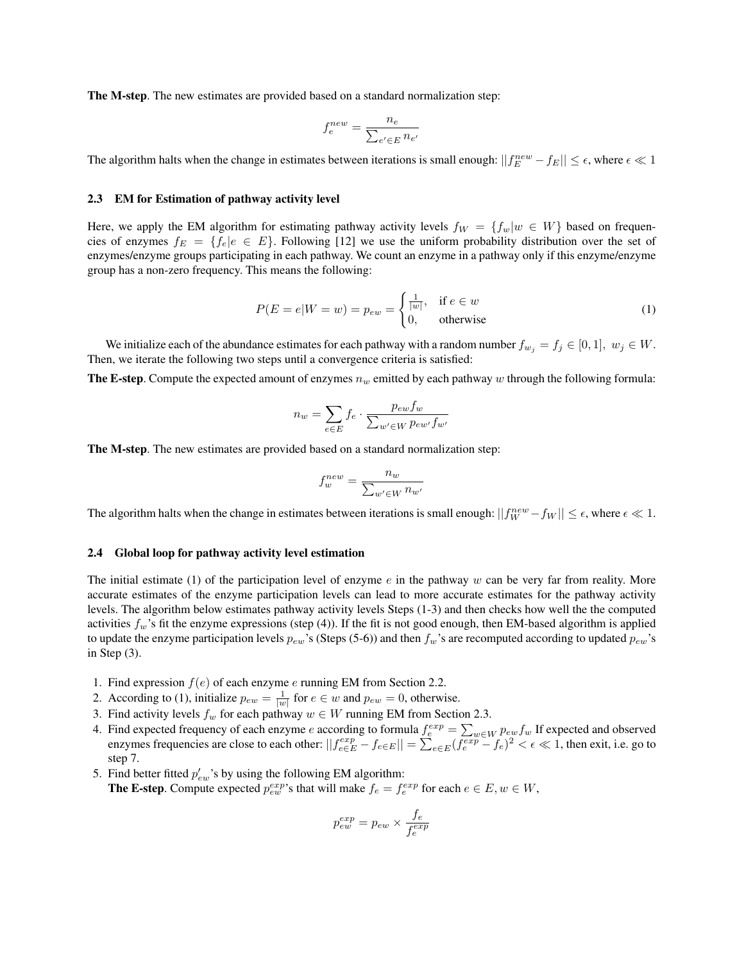The M-step. The new estimates are provided based on a standard normalization step:

$$
f_e^{new} = \frac{n_e}{\sum_{e' \in E} n_{e'}}
$$

The algorithm halts when the change in estimates between iterations is small enough:  $||f_E^{new} - f_E|| \le \epsilon$ , where  $\epsilon \ll 1$ 

#### 2.3 EM for Estimation of pathway activity level

Here, we apply the EM algorithm for estimating pathway activity levels  $f_W = \{f_w | w \in W\}$  based on frequencies of enzymes  $f_E = \{f_e | e \in E\}$ . Following [12] we use the uniform probability distribution over the set of enzymes/enzyme groups participating in each pathway. We count an enzyme in a pathway only if this enzyme/enzyme group has a non-zero frequency. This means the following:

$$
P(E = e|W = w) = p_{ew} = \begin{cases} \frac{1}{|w|}, & \text{if } e \in w \\ 0, & \text{otherwise} \end{cases}
$$
 (1)

We initialize each of the abundance estimates for each pathway with a random number  $f_{w_j} = f_j \in [0,1], w_j \in W$ . Then, we iterate the following two steps until a convergence criteria is satisfied:

The E-step. Compute the expected amount of enzymes  $n_w$  emitted by each pathway w through the following formula:

$$
n_w = \sum_{e \in E} f_e \cdot \frac{p_{ew} f_w}{\sum_{w' \in W} p_{ew'} f_{w'}}
$$

The M-step. The new estimates are provided based on a standard normalization step:

$$
f_w^{new} = \frac{n_w}{\sum_{w' \in W} n_{w'}}
$$

The algorithm halts when the change in estimates between iterations is small enough:  $||f_{W}^{new} - f_{W}|| \le \epsilon$ , where  $\epsilon \ll 1$ .

#### 2.4 Global loop for pathway activity level estimation

The initial estimate (1) of the participation level of enzyme  $e$  in the pathway w can be very far from reality. More accurate estimates of the enzyme participation levels can lead to more accurate estimates for the pathway activity levels. The algorithm below estimates pathway activity levels Steps (1-3) and then checks how well the the computed activities  $f_w$ 's fit the enzyme expressions (step (4)). If the fit is not good enough, then EM-based algorithm is applied to update the enzyme participation levels  $p_{ew}$ 's (Steps (5-6)) and then  $f_w$ 's are recomputed according to updated  $p_{ew}$ 's in Step (3).

- 1. Find expression  $f(e)$  of each enzyme e running EM from Section 2.2.
- 2. According to (1), initialize  $p_{ew} = \frac{1}{|w|}$  for  $e \in w$  and  $p_{ew} = 0$ , otherwise.
- 3. Find activity levels  $f_w$  for each pathway  $w \in W$  running EM from Section 2.3.
- 4. Find expected frequency of each enzyme e according to formula  $f_e^{exp} = \sum_{w \in W} p_{ew} f_w$  If expected and observed enzymes frequencies are close to each other:  $||f_{e\in E}^{exp} - f_{e\in E}|| = \sum_{e\in E} (\overline{f_e^{exp} - f_e})^2 < \epsilon \ll 1$ , then exit, i.e. go to step 7.
- 5. Find better fitted  $p'_{ew}$ 's by using the following EM algorithm: **The E-step**. Compute expected  $p_{ew}^{exp}$ 's that will make  $f_e = f_e^{exp}$  for each  $e \in E, w \in W$ ,

$$
p_{ew}^{exp} = p_{ew} \times \frac{f_e}{f_e^{exp}}
$$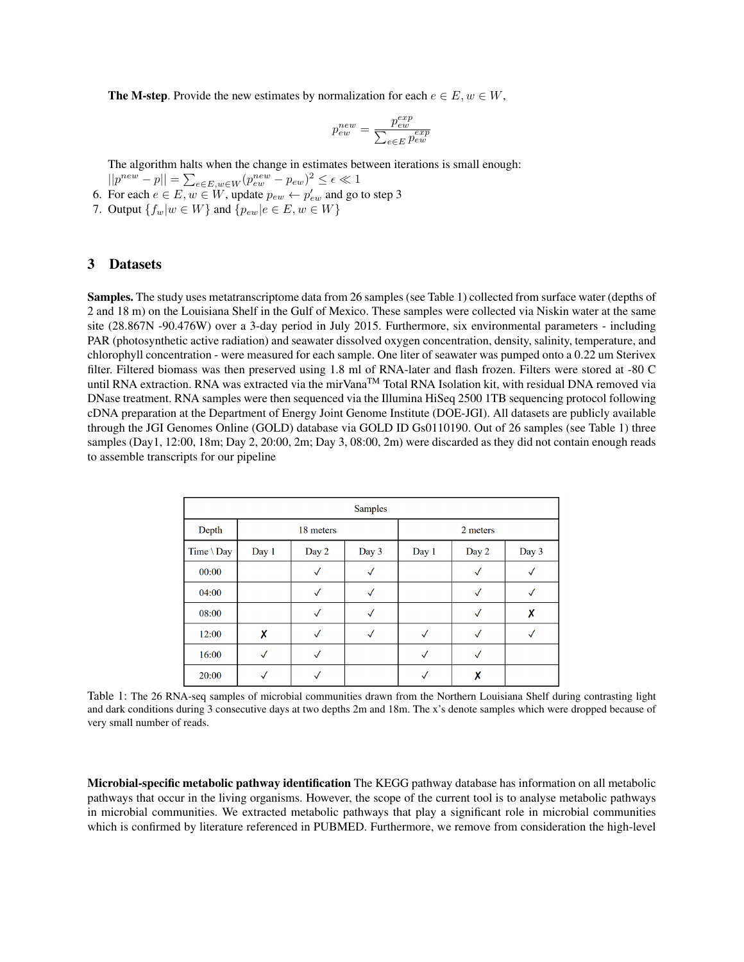**The M-step.** Provide the new estimates by normalization for each  $e \in E, w \in W$ ,

$$
p_{ew}^{new} = \frac{p_{ew}^{exp}}{\sum_{e \in E}{p_{ew}^{exp}}}
$$

The algorithm halts when the change in estimates between iterations is small enough:

- $||p^{new} p|| = \sum_{e \in E, w \in W} (p_{ew}^{new} p_{ew})^2 \le \epsilon \ll 1$
- 6. For each  $e \in E, w \in W$ , update  $p_{ew} \leftarrow p'_{ew}$  and go to step 3
- 7. Output  $\{f_w | w \in W\}$  and  $\{p_{ew} | e \in E, w \in W\}$

### 3 Datasets

Samples. The study uses metatranscriptome data from 26 samples (see Table 1) collected from surface water (depths of 2 and 18 m) on the Louisiana Shelf in the Gulf of Mexico. These samples were collected via Niskin water at the same site (28.867N -90.476W) over a 3-day period in July 2015. Furthermore, six environmental parameters - including PAR (photosynthetic active radiation) and seawater dissolved oxygen concentration, density, salinity, temperature, and chlorophyll concentration - were measured for each sample. One liter of seawater was pumped onto a 0.22 um Sterivex filter. Filtered biomass was then preserved using 1.8 ml of RNA-later and flash frozen. Filters were stored at -80 C until RNA extraction. RNA was extracted via the mirVana<sup>TM</sup> Total RNA Isolation kit, with residual DNA removed via DNase treatment. RNA samples were then sequenced via the Illumina HiSeq 2500 1TB sequencing protocol following cDNA preparation at the Department of Energy Joint Genome Institute (DOE-JGI). All datasets are publicly available through the JGI Genomes Online (GOLD) database via GOLD ID Gs0110190. Out of 26 samples (see Table 1) three samples (Day1, 12:00, 18m; Day 2, 20:00, 2m; Day 3, 08:00, 2m) were discarded as they did not contain enough reads to assemble transcripts for our pipeline

| <b>Samples</b> |       |              |              |              |              |       |  |  |  |  |
|----------------|-------|--------------|--------------|--------------|--------------|-------|--|--|--|--|
| Depth          |       | 18 meters    |              | 2 meters     |              |       |  |  |  |  |
| Time \ Day     | Day 1 | Day 2        | Day 3        | Day 1        | Day 2        | Day 3 |  |  |  |  |
| 00:00          |       | $\checkmark$ | $\checkmark$ |              | $\checkmark$ |       |  |  |  |  |
| 04:00          |       | $\checkmark$ | $\checkmark$ |              | $\checkmark$ | V     |  |  |  |  |
| 08:00          |       | $\checkmark$ |              |              | √            | х     |  |  |  |  |
| 12:00          | Х     | $\checkmark$ | √            | $\checkmark$ | √            | √     |  |  |  |  |
| 16:00          | √     | $\checkmark$ |              | √            | √            |       |  |  |  |  |
| 20:00          |       |              |              |              | X            |       |  |  |  |  |

Table 1: The 26 RNA-seq samples of microbial communities drawn from the Northern Louisiana Shelf during contrasting light and dark conditions during 3 consecutive days at two depths 2m and 18m. The x's denote samples which were dropped because of very small number of reads.

Microbial-specific metabolic pathway identification The KEGG pathway database has information on all metabolic pathways that occur in the living organisms. However, the scope of the current tool is to analyse metabolic pathways in microbial communities. We extracted metabolic pathways that play a significant role in microbial communities which is confirmed by literature referenced in PUBMED. Furthermore, we remove from consideration the high-level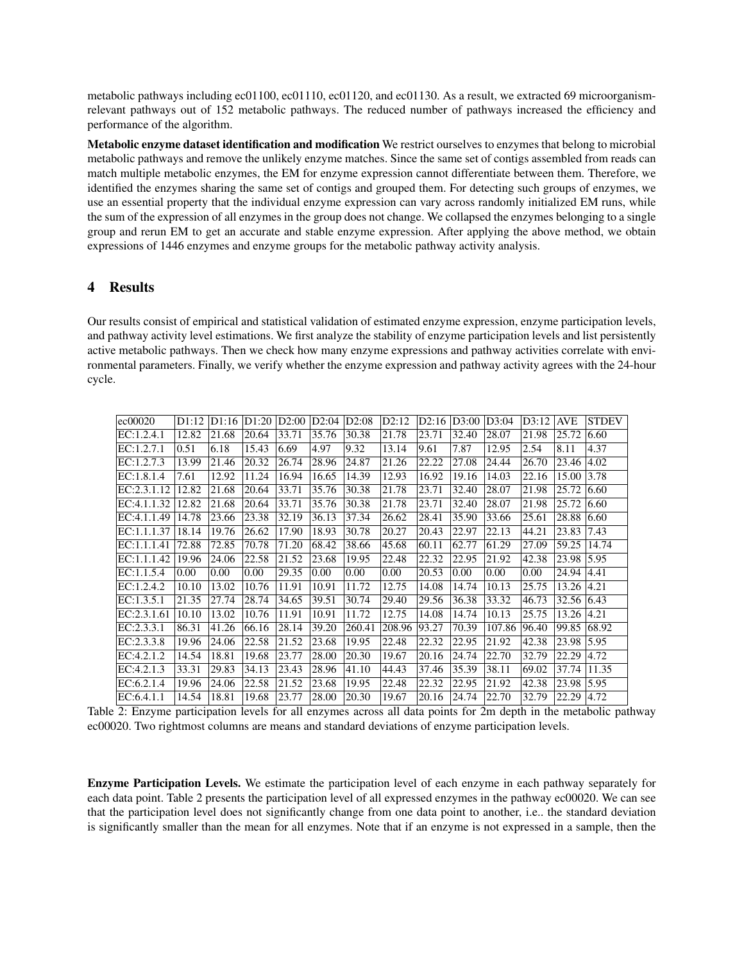metabolic pathways including ec01100, ec01110, ec01120, and ec01130. As a result, we extracted 69 microorganismrelevant pathways out of 152 metabolic pathways. The reduced number of pathways increased the efficiency and performance of the algorithm.

Metabolic enzyme dataset identification and modification We restrict ourselves to enzymes that belong to microbial metabolic pathways and remove the unlikely enzyme matches. Since the same set of contigs assembled from reads can match multiple metabolic enzymes, the EM for enzyme expression cannot differentiate between them. Therefore, we identified the enzymes sharing the same set of contigs and grouped them. For detecting such groups of enzymes, we use an essential property that the individual enzyme expression can vary across randomly initialized EM runs, while the sum of the expression of all enzymes in the group does not change. We collapsed the enzymes belonging to a single group and rerun EM to get an accurate and stable enzyme expression. After applying the above method, we obtain expressions of 1446 enzymes and enzyme groups for the metabolic pathway activity analysis.

# 4 Results

Our results consist of empirical and statistical validation of estimated enzyme expression, enzyme participation levels, and pathway activity level estimations. We first analyze the stability of enzyme participation levels and list persistently active metabolic pathways. Then we check how many enzyme expressions and pathway activities correlate with environmental parameters. Finally, we verify whether the enzyme expression and pathway activity agrees with the 24-hour cycle.

| ec00020     | D1:12 | D1:16 | D1:20 | D <sub>2</sub> :00 | D2:04 | D <sub>2</sub> :08 | D2:12  | D2:16 | D3:00 | D3:04  | D3:12 | AVE   | <b>STDEV</b>   |
|-------------|-------|-------|-------|--------------------|-------|--------------------|--------|-------|-------|--------|-------|-------|----------------|
| EC:1.2.4.1  | 12.82 | 21.68 | 20.64 | 33.71              | 35.76 | 30.38              | 21.78  | 23.71 | 32.40 | 28.07  | 21.98 | 25.72 | 6.60           |
| EC:1.2.7.1  | 0.51  | 6.18  | 15.43 | 6.69               | 4.97  | 9.32               | 13.14  | 9.61  | 7.87  | 12.95  | 2.54  | 8.11  | 4.37           |
| EC:1.2.7.3  | 13.99 | 21.46 | 20.32 | 26.74              | 28.96 | 24.87              | 21.26  | 22.22 | 27.08 | 24.44  | 26.70 | 23.46 | 4.02           |
| EC:1.8.1.4  | 7.61  | 12.92 | 11.24 | 16.94              | 16.65 | 14.39              | 12.93  | 16.92 | 19.16 | 14.03  | 22.16 | 15.00 | 3.78           |
| EC:2.3.1.12 | 12.82 | 21.68 | 20.64 | 33.71              | 35.76 | 30.38              | 21.78  | 23.71 | 32.40 | 28.07  | 21.98 | 25.72 | 6.60           |
| EC:4.1.1.32 | 12.82 | 21.68 | 20.64 | 33.71              | 35.76 | 30.38              | 21.78  | 23.71 | 32.40 | 28.07  | 21.98 | 25.72 | 6.60           |
| EC:4.1.1.49 | 14.78 | 23.66 | 23.38 | 32.19              | 36.13 | 37.34              | 26.62  | 28.41 | 35.90 | 33.66  | 25.61 | 28.88 | 6.60           |
| EC:1.1.1.37 | 18.14 | 19.76 | 26.62 | 17.90              | 18.93 | 30.78              | 20.27  | 20.43 | 22.97 | 22.13  | 44.21 | 23.83 | 7.43           |
| EC:1.1.1.41 | 72.88 | 72.85 | 70.78 | 71.20              | 68.42 | 38.66              | 45.68  | 60.11 | 62.77 | 61.29  | 27.09 | 59.25 | 14.74          |
| EC:1.1.1.42 | 19.96 | 24.06 | 22.58 | 21.52              | 23.68 | 19.95              | 22.48  | 22.32 | 22.95 | 21.92  | 42.38 | 23.98 | 5.95           |
| EC:1.1.5.4  | 0.00  | 0.00  | 0.00  | 29.35              | 0.00  | 0.00               | 0.00   | 20.53 | 0.00  | 0.00   | 0.00  | 24.94 | 4.41           |
| EC: 1.2.4.2 | 10.10 | 13.02 | 10.76 | 11.91              | 10.91 | 11.72              | 12.75  | 14.08 | 14.74 | 10.13  | 25.75 | 13.26 | 4.21           |
| EC:1.3.5.1  | 21.35 | 27.74 | 28.74 | 34.65              | 39.51 | 30.74              | 29.40  | 29.56 | 36.38 | 33.32  | 46.73 | 32.56 | $ 6.43\rangle$ |
| EC:2.3.1.61 | 10.10 | 13.02 | 10.76 | 11.91              | 10.91 | 11.72              | 12.75  | 14.08 | 14.74 | 10.13  | 25.75 | 13.26 | 4.21           |
| EC:2.3.3.1  | 86.31 | 41.26 | 66.16 | 28.14              | 39.20 | 260.41             | 208.96 | 93.27 | 70.39 | 107.86 | 96.40 | 99.85 | 68.92          |
| EC: 2.3.3.8 | 19.96 | 24.06 | 22.58 | 21.52              | 23.68 | 19.95              | 22.48  | 22.32 | 22.95 | 21.92  | 42.38 | 23.98 | 5.95           |
| EC:4.2.1.2  | 14.54 | 18.81 | 19.68 | 23.77              | 28.00 | 20.30              | 19.67  | 20.16 | 24.74 | 22.70  | 32.79 | 22.29 | 4.72           |
| EC:4.2.1.3  | 33.31 | 29.83 | 34.13 | 23.43              | 28.96 | 41.10              | 44.43  | 37.46 | 35.39 | 38.11  | 69.02 | 37.74 | 11.35          |
| EC: 6.2.1.4 | 19.96 | 24.06 | 22.58 | 21.52              | 23.68 | 19.95              | 22.48  | 22.32 | 22.95 | 21.92  | 42.38 | 23.98 | 5.95           |
| EC:6.4.1.1  | 14.54 | 18.81 | 19.68 | 23.77              | 28.00 | 20.30              | 19.67  | 20.16 | 24.74 | 22.70  | 32.79 | 22.29 | 4.72           |

Table 2: Enzyme participation levels for all enzymes across all data points for 2m depth in the metabolic pathway ec00020. Two rightmost columns are means and standard deviations of enzyme participation levels.

Enzyme Participation Levels. We estimate the participation level of each enzyme in each pathway separately for each data point. Table 2 presents the participation level of all expressed enzymes in the pathway ec00020. We can see that the participation level does not significantly change from one data point to another, i.e.. the standard deviation is significantly smaller than the mean for all enzymes. Note that if an enzyme is not expressed in a sample, then the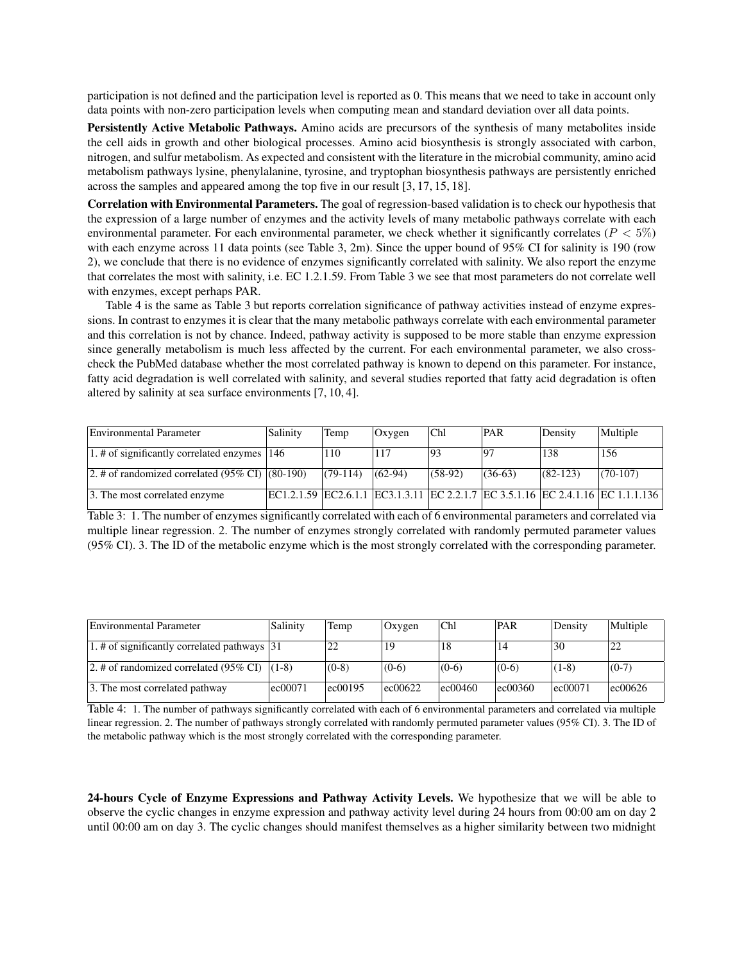participation is not defined and the participation level is reported as 0. This means that we need to take in account only data points with non-zero participation levels when computing mean and standard deviation over all data points.

Persistently Active Metabolic Pathways. Amino acids are precursors of the synthesis of many metabolites inside the cell aids in growth and other biological processes. Amino acid biosynthesis is strongly associated with carbon, nitrogen, and sulfur metabolism. As expected and consistent with the literature in the microbial community, amino acid metabolism pathways lysine, phenylalanine, tyrosine, and tryptophan biosynthesis pathways are persistently enriched across the samples and appeared among the top five in our result [3, 17, 15, 18].

Correlation with Environmental Parameters. The goal of regression-based validation is to check our hypothesis that the expression of a large number of enzymes and the activity levels of many metabolic pathways correlate with each environmental parameter. For each environmental parameter, we check whether it significantly correlates ( $P < 5\%$ ) with each enzyme across 11 data points (see Table 3, 2m). Since the upper bound of 95% CI for salinity is 190 (row 2), we conclude that there is no evidence of enzymes significantly correlated with salinity. We also report the enzyme that correlates the most with salinity, i.e. EC 1.2.1.59. From Table 3 we see that most parameters do not correlate well with enzymes, except perhaps PAR.

Table 4 is the same as Table 3 but reports correlation significance of pathway activities instead of enzyme expressions. In contrast to enzymes it is clear that the many metabolic pathways correlate with each environmental parameter and this correlation is not by chance. Indeed, pathway activity is supposed to be more stable than enzyme expression since generally metabolism is much less affected by the current. For each environmental parameter, we also crosscheck the PubMed database whether the most correlated pathway is known to depend on this parameter. For instance, fatty acid degradation is well correlated with salinity, and several studies reported that fatty acid degradation is often altered by salinity at sea surface environments [7, 10, 4].

| Environmental Parameter                                    | Salinity | Temp       | Oxygen    | Chl       | PAR       | Density    | Multiple                                                                        |
|------------------------------------------------------------|----------|------------|-----------|-----------|-----------|------------|---------------------------------------------------------------------------------|
| 1. # of significantly correlated enzymes $ 146\rangle$     |          | 110        | 117       | 93        | 197       | 138        | 156                                                                             |
| 2. # of randomized correlated $(95\% \text{ CI})$ (80-190) |          | $(79-114)$ | $(62-94)$ | $(58-92)$ | $(36-63)$ | $(82-123)$ | $(70-107)$                                                                      |
| 3. The most correlated enzyme                              |          |            |           |           |           |            | EC1.2.1.59 EC2.6.1.1 EC3.1.3.11 EC 2.2.1.7 EC 3.5.1.16 EC 2.4.1.16 EC 1.1.1.136 |

Table 3: 1. The number of enzymes significantly correlated with each of 6 environmental parameters and correlated via multiple linear regression. 2. The number of enzymes strongly correlated with randomly permuted parameter values (95% CI). 3. The ID of the metabolic enzyme which is the most strongly correlated with the corresponding parameter.

| Environmental Parameter                                 | Salinity | Temp    | Oxvgen            | Chl     | <b>PAR</b>        | Density | Multiple |
|---------------------------------------------------------|----------|---------|-------------------|---------|-------------------|---------|----------|
| 1. $\#$ of significantly correlated pathways [31]       |          | 22      | 19                | 18      | 14                | 30      | 22       |
| 2. # of randomized correlated $(95\% \text{ CI})$ (1-8) |          | $(0-8)$ | $(0-6)$           | $(0-6)$ | $(0-6)$           | $(1-8)$ | $(0-7)$  |
| 3. The most correlated pathway                          | ec00071  | ec00195 | $ ec00622\rangle$ | ec00460 | $ ec00360\rangle$ | ec00071 | ec00626  |

Table 4: 1. The number of pathways significantly correlated with each of 6 environmental parameters and correlated via multiple linear regression. 2. The number of pathways strongly correlated with randomly permuted parameter values (95% CI). 3. The ID of the metabolic pathway which is the most strongly correlated with the corresponding parameter.

24-hours Cycle of Enzyme Expressions and Pathway Activity Levels. We hypothesize that we will be able to observe the cyclic changes in enzyme expression and pathway activity level during 24 hours from 00:00 am on day 2 until 00:00 am on day 3. The cyclic changes should manifest themselves as a higher similarity between two midnight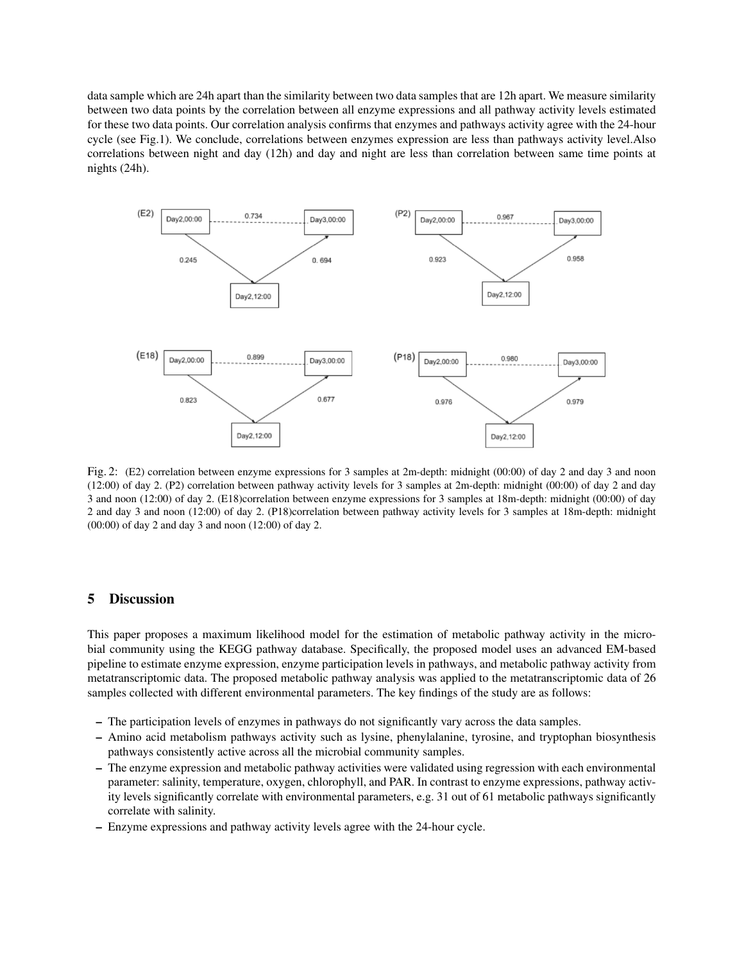data sample which are 24h apart than the similarity between two data samples that are 12h apart. We measure similarity between two data points by the correlation between all enzyme expressions and all pathway activity levels estimated for these two data points. Our correlation analysis confirms that enzymes and pathways activity agree with the 24-hour cycle (see Fig.1). We conclude, correlations between enzymes expression are less than pathways activity level.Also correlations between night and day (12h) and day and night are less than correlation between same time points at nights (24h).



Fig. 2: (E2) correlation between enzyme expressions for 3 samples at 2m-depth: midnight (00:00) of day 2 and day 3 and noon (12:00) of day 2. (P2) correlation between pathway activity levels for 3 samples at 2m-depth: midnight (00:00) of day 2 and day 3 and noon (12:00) of day 2. (E18)correlation between enzyme expressions for 3 samples at 18m-depth: midnight (00:00) of day 2 and day 3 and noon (12:00) of day 2. (P18)correlation between pathway activity levels for 3 samples at 18m-depth: midnight (00:00) of day 2 and day 3 and noon (12:00) of day 2.

## 5 Discussion

This paper proposes a maximum likelihood model for the estimation of metabolic pathway activity in the microbial community using the KEGG pathway database. Specifically, the proposed model uses an advanced EM-based pipeline to estimate enzyme expression, enzyme participation levels in pathways, and metabolic pathway activity from metatranscriptomic data. The proposed metabolic pathway analysis was applied to the metatranscriptomic data of 26 samples collected with different environmental parameters. The key findings of the study are as follows:

- The participation levels of enzymes in pathways do not significantly vary across the data samples.
- Amino acid metabolism pathways activity such as lysine, phenylalanine, tyrosine, and tryptophan biosynthesis pathways consistently active across all the microbial community samples.
- The enzyme expression and metabolic pathway activities were validated using regression with each environmental parameter: salinity, temperature, oxygen, chlorophyll, and PAR. In contrast to enzyme expressions, pathway activity levels significantly correlate with environmental parameters, e.g. 31 out of 61 metabolic pathways significantly correlate with salinity.
- Enzyme expressions and pathway activity levels agree with the 24-hour cycle.